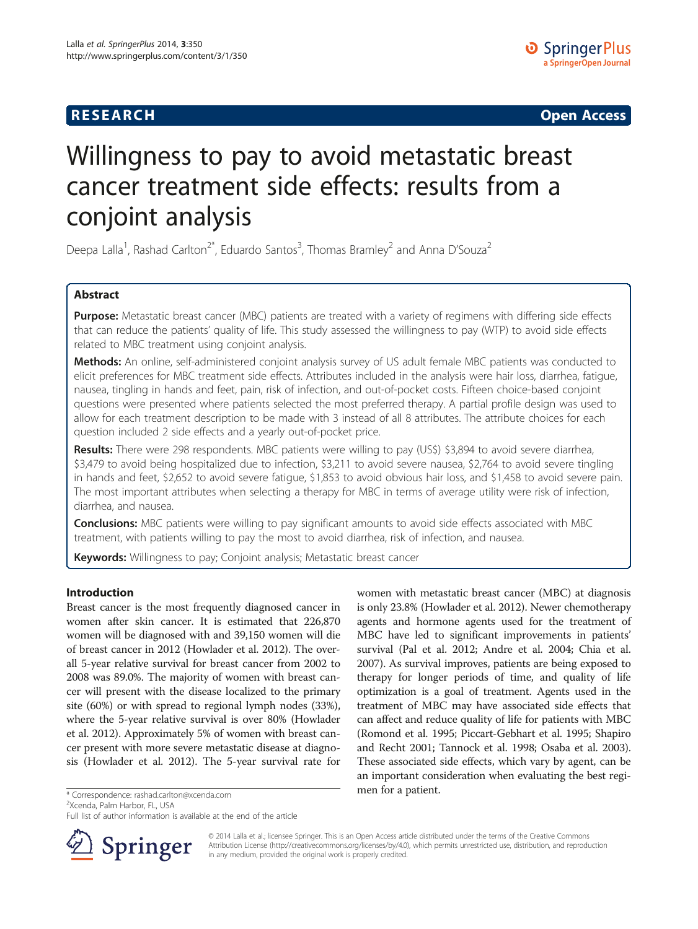## **RESEARCH RESEARCH CONSUMING ACCESS**

# Willingness to pay to avoid metastatic breast cancer treatment side effects: results from a conjoint analysis

Deepa Lalla<sup>1</sup>, Rashad Carlton<sup>2\*</sup>, Eduardo Santos<sup>3</sup>, Thomas Bramley<sup>2</sup> and Anna D'Souza<sup>2</sup>

## Abstract

Purpose: Metastatic breast cancer (MBC) patients are treated with a variety of regimens with differing side effects that can reduce the patients' quality of life. This study assessed the willingness to pay (WTP) to avoid side effects related to MBC treatment using conjoint analysis.

Methods: An online, self-administered conjoint analysis survey of US adult female MBC patients was conducted to elicit preferences for MBC treatment side effects. Attributes included in the analysis were hair loss, diarrhea, fatigue, nausea, tingling in hands and feet, pain, risk of infection, and out-of-pocket costs. Fifteen choice-based conjoint questions were presented where patients selected the most preferred therapy. A partial profile design was used to allow for each treatment description to be made with 3 instead of all 8 attributes. The attribute choices for each question included 2 side effects and a yearly out-of-pocket price.

Results: There were 298 respondents. MBC patients were willing to pay (US\$) \$3,894 to avoid severe diarrhea, \$3,479 to avoid being hospitalized due to infection, \$3,211 to avoid severe nausea, \$2,764 to avoid severe tingling in hands and feet, \$2,652 to avoid severe fatigue, \$1,853 to avoid obvious hair loss, and \$1,458 to avoid severe pain. The most important attributes when selecting a therapy for MBC in terms of average utility were risk of infection, diarrhea, and nausea.

**Conclusions:** MBC patients were willing to pay significant amounts to avoid side effects associated with MBC treatment, with patients willing to pay the most to avoid diarrhea, risk of infection, and nausea.

Keywords: Willingness to pay; Conjoint analysis; Metastatic breast cancer

## Introduction

Breast cancer is the most frequently diagnosed cancer in women after skin cancer. It is estimated that 226,870 women will be diagnosed with and 39,150 women will die of breast cancer in 2012 (Howlader et al. [2012\)](#page-6-0). The overall 5-year relative survival for breast cancer from 2002 to 2008 was 89.0%. The majority of women with breast cancer will present with the disease localized to the primary site (60%) or with spread to regional lymph nodes (33%), where the 5-year relative survival is over 80% (Howlader et al. [2012\)](#page-6-0). Approximately 5% of women with breast cancer present with more severe metastatic disease at diagnosis (Howlader et al. [2012](#page-6-0)). The 5-year survival rate for

<sup>2</sup>Xcenda, Palm Harbor, FL, USA

Full list of author information is available at the end of the article



women with metastatic breast cancer (MBC) at diagnosis is only 23.8% (Howlader et al. [2012\)](#page-6-0). Newer chemotherapy agents and hormone agents used for the treatment of MBC have led to significant improvements in patients' survival (Pal et al. [2012](#page-6-0); Andre et al. [2004](#page-6-0); Chia et al. [2007\)](#page-6-0). As survival improves, patients are being exposed to therapy for longer periods of time, and quality of life optimization is a goal of treatment. Agents used in the treatment of MBC may have associated side effects that can affect and reduce quality of life for patients with MBC (Romond et al. [1995;](#page-6-0) Piccart-Gebhart et al. [1995](#page-6-0); Shapiro and Recht [2001](#page-6-0); Tannock et al. [1998](#page-6-0); Osaba et al. [2003](#page-6-0)). These associated side effects, which vary by agent, can be an important consideration when evaluating the best regi-

© 2014 Lalla et al.; licensee Springer. This is an Open Access article distributed under the terms of the Creative Commons Attribution License [\(http://creativecommons.org/licenses/by/4.0\)](http://creativecommons.org/licenses/by/4.0), which permits unrestricted use, distribution, and reproduction in any medium, provided the original work is properly credited.

men for a patient. \* Correspondence: [rashad.carlton@xcenda.com](mailto:rashad.carlton@xcenda.com) <sup>2</sup>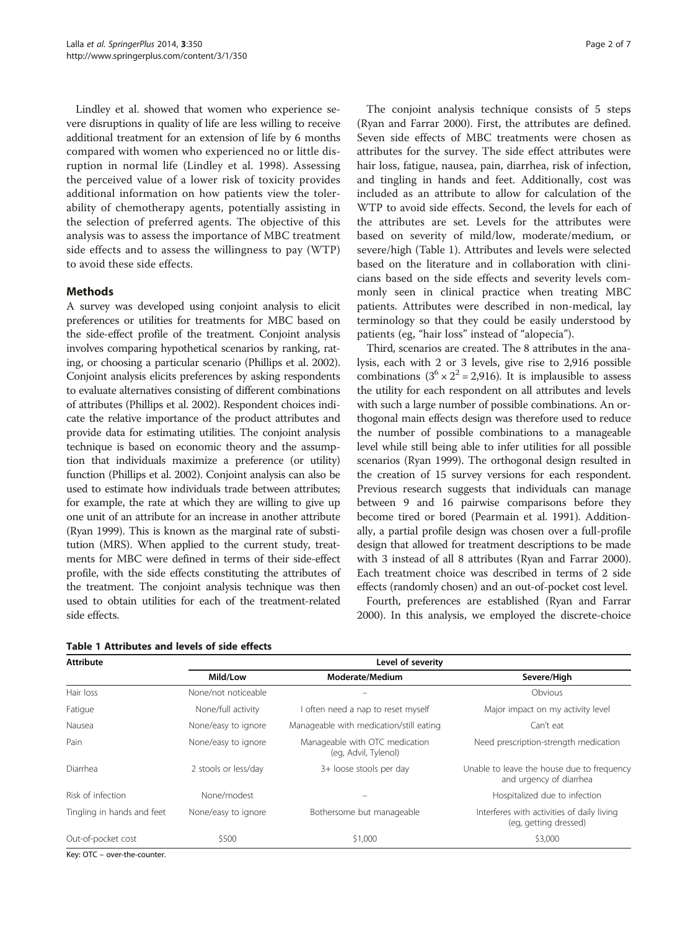Lindley et al. showed that women who experience severe disruptions in quality of life are less willing to receive additional treatment for an extension of life by 6 months compared with women who experienced no or little disruption in normal life (Lindley et al. [1998\)](#page-6-0). Assessing the perceived value of a lower risk of toxicity provides additional information on how patients view the tolerability of chemotherapy agents, potentially assisting in the selection of preferred agents. The objective of this analysis was to assess the importance of MBC treatment side effects and to assess the willingness to pay (WTP) to avoid these side effects.

#### Methods

A survey was developed using conjoint analysis to elicit preferences or utilities for treatments for MBC based on the side-effect profile of the treatment. Conjoint analysis involves comparing hypothetical scenarios by ranking, rating, or choosing a particular scenario (Phillips et al. [2002](#page-6-0)). Conjoint analysis elicits preferences by asking respondents to evaluate alternatives consisting of different combinations of attributes (Phillips et al. [2002\)](#page-6-0). Respondent choices indicate the relative importance of the product attributes and provide data for estimating utilities. The conjoint analysis technique is based on economic theory and the assumption that individuals maximize a preference (or utility) function (Phillips et al. [2002\)](#page-6-0). Conjoint analysis can also be used to estimate how individuals trade between attributes; for example, the rate at which they are willing to give up one unit of an attribute for an increase in another attribute (Ryan [1999\)](#page-6-0). This is known as the marginal rate of substitution (MRS). When applied to the current study, treatments for MBC were defined in terms of their side-effect profile, with the side effects constituting the attributes of the treatment. The conjoint analysis technique was then used to obtain utilities for each of the treatment-related side effects.

|  | Table 1 Attributes and levels of side effects |  |  |  |
|--|-----------------------------------------------|--|--|--|
|  |                                               |  |  |  |

The conjoint analysis technique consists of 5 steps (Ryan and Farrar [2000](#page-6-0)). First, the attributes are defined. Seven side effects of MBC treatments were chosen as attributes for the survey. The side effect attributes were hair loss, fatigue, nausea, pain, diarrhea, risk of infection, and tingling in hands and feet. Additionally, cost was included as an attribute to allow for calculation of the WTP to avoid side effects. Second, the levels for each of the attributes are set. Levels for the attributes were based on severity of mild/low, moderate/medium, or severe/high (Table 1). Attributes and levels were selected based on the literature and in collaboration with clinicians based on the side effects and severity levels commonly seen in clinical practice when treating MBC patients. Attributes were described in non-medical, lay terminology so that they could be easily understood by patients (eg, "hair loss" instead of "alopecia").

Third, scenarios are created. The 8 attributes in the analysis, each with 2 or 3 levels, give rise to 2,916 possible combinations  $(3^6 \times 2^2 = 2,916)$ . It is implausible to assess the utility for each respondent on all attributes and levels with such a large number of possible combinations. An orthogonal main effects design was therefore used to reduce the number of possible combinations to a manageable level while still being able to infer utilities for all possible scenarios (Ryan [1999\)](#page-6-0). The orthogonal design resulted in the creation of 15 survey versions for each respondent. Previous research suggests that individuals can manage between 9 and 16 pairwise comparisons before they become tired or bored (Pearmain et al. [1991](#page-6-0)). Additionally, a partial profile design was chosen over a full-profile design that allowed for treatment descriptions to be made with 3 instead of all 8 attributes (Ryan and Farrar [2000](#page-6-0)). Each treatment choice was described in terms of 2 side effects (randomly chosen) and an out-of-pocket cost level.

Fourth, preferences are established (Ryan and Farrar [2000](#page-6-0)). In this analysis, we employed the discrete-choice

| <b>Attribute</b>           | Level of severity    |                                                        |                                                                       |  |  |
|----------------------------|----------------------|--------------------------------------------------------|-----------------------------------------------------------------------|--|--|
|                            | Mild/Low             | Moderate/Medium                                        | Severe/High                                                           |  |  |
| Hair loss                  | None/not noticeable  |                                                        | Obvious                                                               |  |  |
| Fatigue                    | None/full activity   | I often need a nap to reset myself                     | Major impact on my activity level                                     |  |  |
| Nausea                     | None/easy to ignore  | Manageable with medication/still eating                | Can't eat                                                             |  |  |
| Pain                       | None/easy to ignore  | Manageable with OTC medication<br>(eg, Advil, Tylenol) | Need prescription-strength medication                                 |  |  |
| Diarrhea                   | 2 stools or less/day | 3+ loose stools per day                                | Unable to leave the house due to frequency<br>and urgency of diarrhea |  |  |
| Risk of infection          | None/modest          |                                                        | Hospitalized due to infection                                         |  |  |
| Tingling in hands and feet | None/easy to ignore  | Bothersome but manageable                              | Interferes with activities of daily living<br>(eg, getting dressed)   |  |  |
| Out-of-pocket cost         | \$500                | \$1,000                                                | \$3,000                                                               |  |  |

Key: OTC – over-the-counter.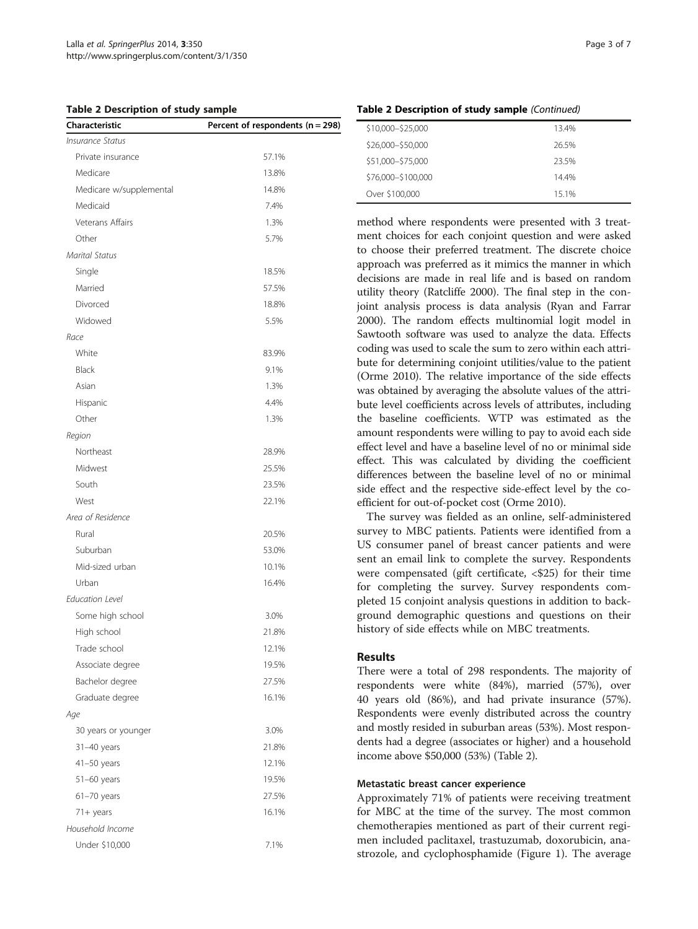Table 2 Description of study sample

| Characteristic          | Percent of respondents (n = 298) |
|-------------------------|----------------------------------|
| <b>Insurance Status</b> |                                  |
| Private insurance       | 57.1%                            |
| Medicare                | 13.8%                            |
| Medicare w/supplemental | 14.8%                            |
| Medicaid                | 7.4%                             |
| Veterans Affairs        | 1.3%                             |
| Other                   | 5.7%                             |
| <b>Marital Status</b>   |                                  |
| Single                  | 18.5%                            |
| Married                 | 57.5%                            |
| Divorced                | 18.8%                            |
| Widowed                 | 5.5%                             |
| Race                    |                                  |
| White                   | 83.9%                            |
| Black                   | 9.1%                             |
| Asian                   | 1.3%                             |
| Hispanic                | 4.4%                             |
| Other                   | 1.3%                             |
| Region                  |                                  |
| Northeast               | 28.9%                            |
| Midwest                 | 25.5%                            |
| South                   | 23.5%                            |
| West                    | 22.1%                            |
| Area of Residence       |                                  |
| Rural                   | 20.5%                            |
| Suburban                | 53.0%                            |
| Mid-sized urban         | 10.1%                            |
| Urban                   | 16.4%                            |
| <b>Education Level</b>  |                                  |
| Some high school        | 3.0%                             |
| High school             | 21.8%                            |
| Trade school            | 12.1%                            |
| Associate degree        | 19.5%                            |
| Bachelor degree         | 27.5%                            |
| Graduate degree         | 16.1%                            |
| Age                     |                                  |
| 30 years or younger     | 3.0%                             |
| 31-40 years             | 21.8%                            |
| $41 - 50$ years         | 12.1%                            |
| $51-60$ years           | 19.5%                            |
| $61-70$ years           | 27.5%                            |
| $71 +$ years            | 16.1%                            |
| Household Income        |                                  |
| Under \$10,000          | 7.1%                             |
|                         |                                  |

| <b>Table 2 Description of study sample</b> (Continued) |  |
|--------------------------------------------------------|--|
|--------------------------------------------------------|--|

| \$10,000-\$25,000  | 13.4% |
|--------------------|-------|
| \$26,000-\$50,000  | 26.5% |
| \$51,000-\$75,000  | 23.5% |
| \$76,000-\$100,000 | 144%  |
| Over \$100,000     | 15 1% |

method where respondents were presented with 3 treatment choices for each conjoint question and were asked to choose their preferred treatment. The discrete choice approach was preferred as it mimics the manner in which decisions are made in real life and is based on random utility theory (Ratcliffe [2000\)](#page-6-0). The final step in the conjoint analysis process is data analysis (Ryan and Farrar [2000](#page-6-0)). The random effects multinomial logit model in Sawtooth software was used to analyze the data. Effects coding was used to scale the sum to zero within each attribute for determining conjoint utilities/value to the patient (Orme [2010\)](#page-6-0). The relative importance of the side effects was obtained by averaging the absolute values of the attribute level coefficients across levels of attributes, including the baseline coefficients. WTP was estimated as the amount respondents were willing to pay to avoid each side effect level and have a baseline level of no or minimal side effect. This was calculated by dividing the coefficient differences between the baseline level of no or minimal side effect and the respective side-effect level by the coefficient for out-of-pocket cost (Orme [2010\)](#page-6-0).

The survey was fielded as an online, self-administered survey to MBC patients. Patients were identified from a US consumer panel of breast cancer patients and were sent an email link to complete the survey. Respondents were compensated (gift certificate, <\$25) for their time for completing the survey. Survey respondents completed 15 conjoint analysis questions in addition to background demographic questions and questions on their history of side effects while on MBC treatments.

## Results

There were a total of 298 respondents. The majority of respondents were white (84%), married (57%), over 40 years old (86%), and had private insurance (57%). Respondents were evenly distributed across the country and mostly resided in suburban areas (53%). Most respondents had a degree (associates or higher) and a household income above \$50,000 (53%) (Table 2).

#### Metastatic breast cancer experience

Approximately 71% of patients were receiving treatment for MBC at the time of the survey. The most common chemotherapies mentioned as part of their current regimen included paclitaxel, trastuzumab, doxorubicin, anastrozole, and cyclophosphamide (Figure [1\)](#page-3-0). The average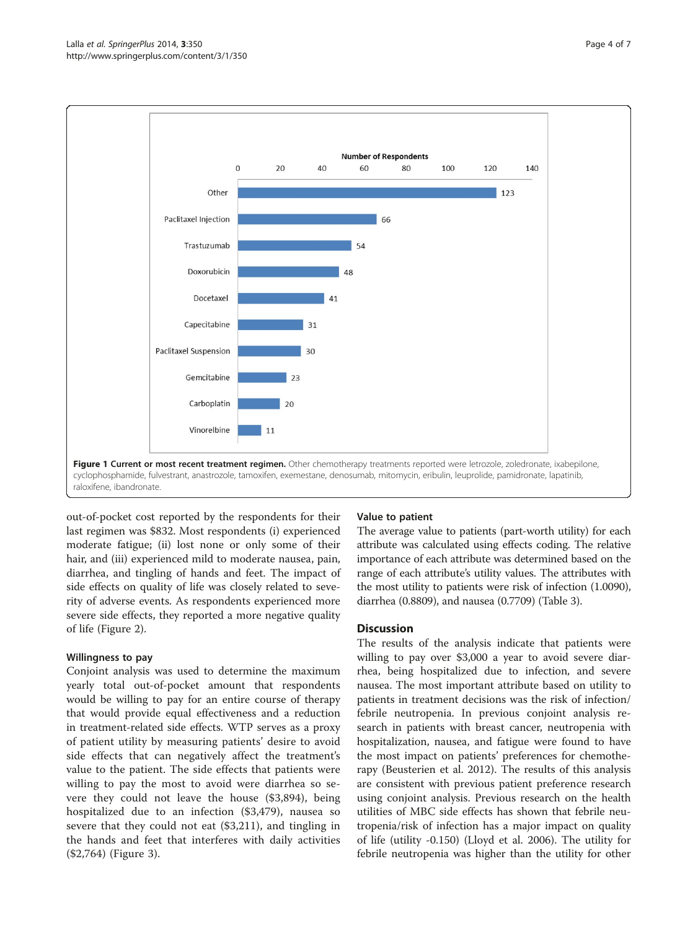<span id="page-3-0"></span>

out-of-pocket cost reported by the respondents for their last regimen was \$832. Most respondents (i) experienced moderate fatigue; (ii) lost none or only some of their hair, and (iii) experienced mild to moderate nausea, pain, diarrhea, and tingling of hands and feet. The impact of side effects on quality of life was closely related to severity of adverse events. As respondents experienced more severe side effects, they reported a more negative quality of life (Figure [2\)](#page-4-0).

#### Willingness to pay

Conjoint analysis was used to determine the maximum yearly total out-of-pocket amount that respondents would be willing to pay for an entire course of therapy that would provide equal effectiveness and a reduction in treatment-related side effects. WTP serves as a proxy of patient utility by measuring patients' desire to avoid side effects that can negatively affect the treatment's value to the patient. The side effects that patients were willing to pay the most to avoid were diarrhea so severe they could not leave the house (\$3,894), being hospitalized due to an infection (\$3,479), nausea so severe that they could not eat (\$3,211), and tingling in the hands and feet that interferes with daily activities (\$2,764) (Figure [3](#page-4-0)).

#### Value to patient

The average value to patients (part-worth utility) for each attribute was calculated using effects coding. The relative importance of each attribute was determined based on the range of each attribute's utility values. The attributes with the most utility to patients were risk of infection (1.0090), diarrhea (0.8809), and nausea (0.7709) (Table [3\)](#page-5-0).

#### **Discussion**

The results of the analysis indicate that patients were willing to pay over \$3,000 a year to avoid severe diarrhea, being hospitalized due to infection, and severe nausea. The most important attribute based on utility to patients in treatment decisions was the risk of infection/ febrile neutropenia. In previous conjoint analysis research in patients with breast cancer, neutropenia with hospitalization, nausea, and fatigue were found to have the most impact on patients' preferences for chemotherapy (Beusterien et al. [2012\)](#page-6-0). The results of this analysis are consistent with previous patient preference research using conjoint analysis. Previous research on the health utilities of MBC side effects has shown that febrile neutropenia/risk of infection has a major impact on quality of life (utility -0.150) (Lloyd et al. [2006](#page-6-0)). The utility for febrile neutropenia was higher than the utility for other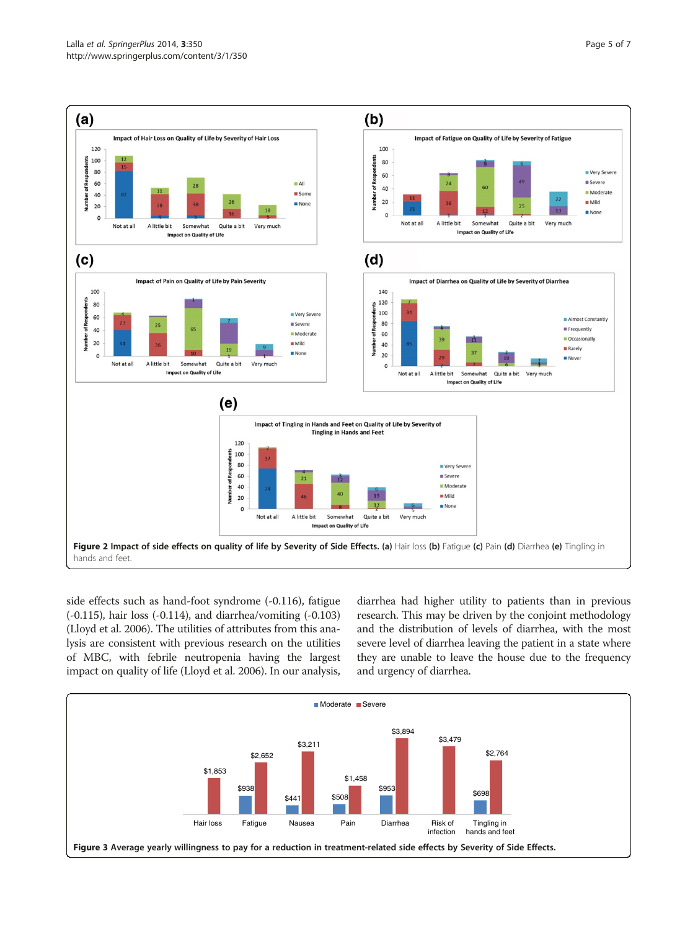<span id="page-4-0"></span>

side effects such as hand-foot syndrome (-0.116), fatigue (-0.115), hair loss (-0.114), and diarrhea/vomiting (-0.103) (Lloyd et al. [2006](#page-6-0)). The utilities of attributes from this analysis are consistent with previous research on the utilities of MBC, with febrile neutropenia having the largest impact on quality of life (Lloyd et al. [2006\)](#page-6-0). In our analysis, diarrhea had higher utility to patients than in previous research. This may be driven by the conjoint methodology and the distribution of levels of diarrhea, with the most severe level of diarrhea leaving the patient in a state where they are unable to leave the house due to the frequency and urgency of diarrhea.

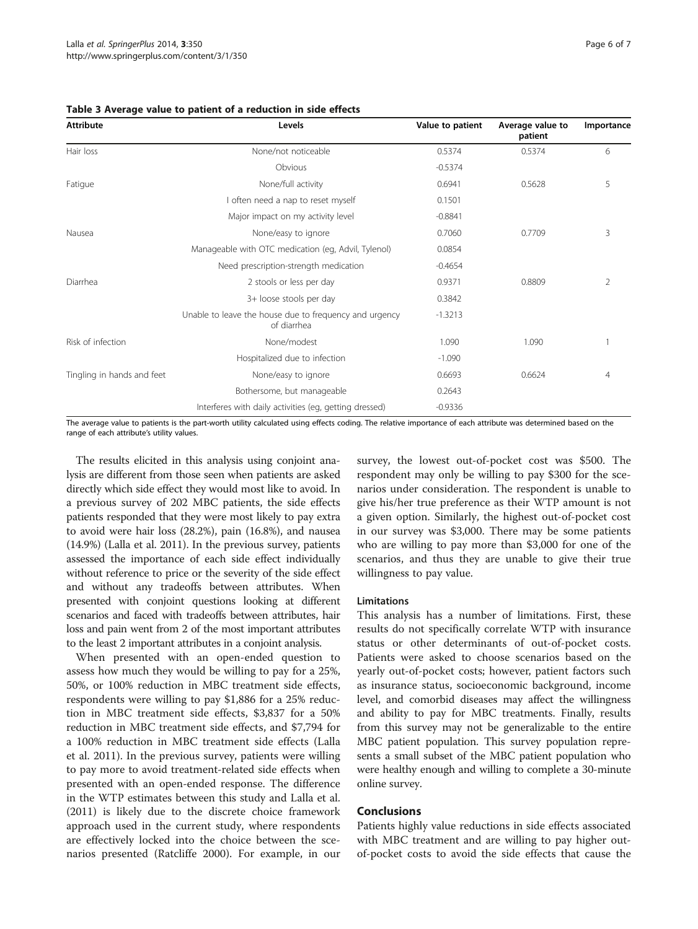<span id="page-5-0"></span>

|  |  | Table 3 Average value to patient of a reduction in side effects |
|--|--|-----------------------------------------------------------------|
|--|--|-----------------------------------------------------------------|

| <b>Attribute</b>           | Levels                                                                | Value to patient | Average value to<br>patient | Importance |
|----------------------------|-----------------------------------------------------------------------|------------------|-----------------------------|------------|
| Hair loss                  | None/not noticeable                                                   | 0.5374           | 0.5374                      | 6          |
|                            | Obvious                                                               | $-0.5374$        |                             |            |
| Fatigue                    | None/full activity                                                    | 0.6941           | 0.5628                      | 5          |
|                            | I often need a nap to reset myself                                    | 0.1501           |                             |            |
|                            | Major impact on my activity level                                     | $-0.8841$        |                             |            |
| Nausea                     | None/easy to ignore                                                   | 0.7060           | 0.7709                      | 3          |
|                            | Manageable with OTC medication (eg, Advil, Tylenol)                   | 0.0854           |                             |            |
|                            | Need prescription-strength medication                                 | $-0.4654$        |                             |            |
| Diarrhea                   | 2 stools or less per day                                              | 0.9371           | 0.8809                      | 2          |
|                            | 3+ loose stools per day                                               | 0.3842           |                             |            |
|                            | Unable to leave the house due to frequency and urgency<br>of diarrhea | $-1.3213$        |                             |            |
| Risk of infection          | None/modest                                                           | 1.090            | 1.090                       |            |
|                            | Hospitalized due to infection                                         | $-1.090$         |                             |            |
| Tingling in hands and feet | None/easy to ignore                                                   | 0.6693           | 0.6624                      | 4          |
|                            | Bothersome, but manageable                                            | 0.2643           |                             |            |
|                            | Interferes with daily activities (eg, getting dressed)                | $-0.9336$        |                             |            |

The average value to patients is the part-worth utility calculated using effects coding. The relative importance of each attribute was determined based on the range of each attribute's utility values.

The results elicited in this analysis using conjoint analysis are different from those seen when patients are asked directly which side effect they would most like to avoid. In a previous survey of 202 MBC patients, the side effects patients responded that they were most likely to pay extra to avoid were hair loss (28.2%), pain (16.8%), and nausea (14.9%) (Lalla et al. [2011\)](#page-6-0). In the previous survey, patients assessed the importance of each side effect individually without reference to price or the severity of the side effect and without any tradeoffs between attributes. When presented with conjoint questions looking at different scenarios and faced with tradeoffs between attributes, hair loss and pain went from 2 of the most important attributes to the least 2 important attributes in a conjoint analysis.

When presented with an open-ended question to assess how much they would be willing to pay for a 25%, 50%, or 100% reduction in MBC treatment side effects, respondents were willing to pay \$1,886 for a 25% reduction in MBC treatment side effects, \$3,837 for a 50% reduction in MBC treatment side effects, and \$7,794 for a 100% reduction in MBC treatment side effects (Lalla et al. [2011](#page-6-0)). In the previous survey, patients were willing to pay more to avoid treatment-related side effects when presented with an open-ended response. The difference in the WTP estimates between this study and Lalla et al. ([2011](#page-6-0)) is likely due to the discrete choice framework approach used in the current study, where respondents are effectively locked into the choice between the scenarios presented (Ratcliffe [2000\)](#page-6-0). For example, in our

survey, the lowest out-of-pocket cost was \$500. The respondent may only be willing to pay \$300 for the scenarios under consideration. The respondent is unable to give his/her true preference as their WTP amount is not a given option. Similarly, the highest out-of-pocket cost in our survey was \$3,000. There may be some patients who are willing to pay more than \$3,000 for one of the scenarios, and thus they are unable to give their true willingness to pay value.

#### Limitations

This analysis has a number of limitations. First, these results do not specifically correlate WTP with insurance status or other determinants of out-of-pocket costs. Patients were asked to choose scenarios based on the yearly out-of-pocket costs; however, patient factors such as insurance status, socioeconomic background, income level, and comorbid diseases may affect the willingness and ability to pay for MBC treatments. Finally, results from this survey may not be generalizable to the entire MBC patient population. This survey population represents a small subset of the MBC patient population who were healthy enough and willing to complete a 30-minute online survey.

### **Conclusions**

Patients highly value reductions in side effects associated with MBC treatment and are willing to pay higher outof-pocket costs to avoid the side effects that cause the